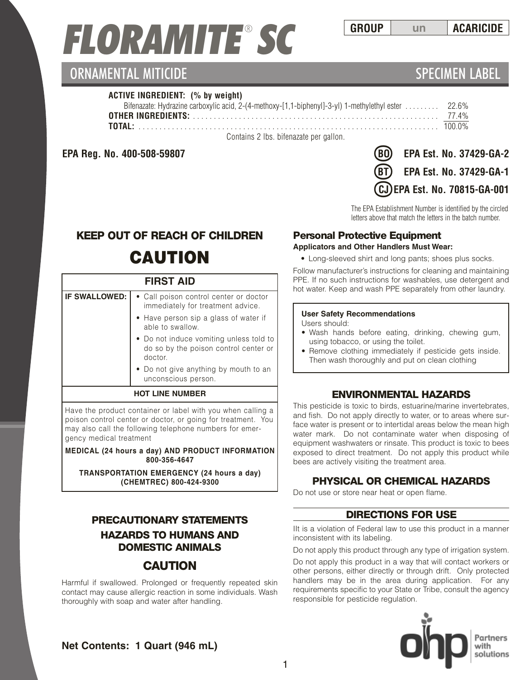# *FLORAMITE* ® *SC*

# ORNAMENTAL MITICIDE **SPECIMEN LABEL**

#### **ACTIVE INGREDIENT: (% by weight)**

| Bifenazate: Hydrazine carboxylic acid, 2-(4-methoxy-[1,1-biphenyl]-3-yl) 1-methylethyl ester  22.6% |  |
|-----------------------------------------------------------------------------------------------------|--|
|                                                                                                     |  |
|                                                                                                     |  |
| Contains 2 lbs. bifenazate per gallon.                                                              |  |

**EPA Reg. No. 400-508-59807** 

| <b>BO</b> EPA Est. No. 37429-GA-2 |
|-----------------------------------|
| (BT) EPA Est. No. 37429-GA-1      |
| CJ EPA Est. No. 70815-GA-001      |

The EPA Establishment Number is identified by the circled letters above that match the letters in the batch number.

# **KEEP OUT OF REACH OF CHILDREN**

# **CAUTION**

#### **FIRST AID**

| <b>IF SWALLOWED:</b>   | • Call poison control center or doctor<br>immediately for treatment advice.                 |  |
|------------------------|---------------------------------------------------------------------------------------------|--|
|                        | • Have person sip a glass of water if<br>able to swallow.                                   |  |
|                        | • Do not induce vomiting unless told to<br>do so by the poison control center or<br>doctor. |  |
|                        | • Do not give anything by mouth to an<br>unconscious person.                                |  |
| <b>HOT LINE NUMBER</b> |                                                                                             |  |

Have the product container or label with you when calling a poison control center or doctor, or going for treatment. You may also call the following telephone numbers for emergency medical treatment

**MEDICAL (24 hours a day) AND PRODUCT INFORMATION 800-356-4647**

**TRANSPORTATION EMERGENCY (24 hours a day) (CHEMTREC) 800-424-9300**

### **PRECAUTIONARY STATEMENTS HAZARDS TO HUMANS AND DOMESTIC ANIMALS**

### **CAUTION**

Harmful if swallowed. Prolonged or frequently repeated skin contact may cause allergic reaction in some individuals. Wash thoroughly with soap and water after handling.

# **Personal Protective Equipment**

#### **Applicators and Other Handlers Must Wear:**

• Long-sleeved shirt and long pants; shoes plus socks.

Follow manufacturer's instructions for cleaning and maintaining PPE. If no such instructions for washables, use detergent and hot water. Keep and wash PPE separately from other laundry.

#### **User Safety Recommendations**

- Users should:
- Wash hands before eating, drinking, chewing gum, using tobacco, or using the toilet.
- Remove clothing immediately if pesticide gets inside. Then wash thoroughly and put on clean clothing

### **ENVIRONMENTAL HAZARDS**

This pesticide is toxic to birds, estuarine/marine invertebrates, and fish. Do not apply directly to water, or to areas where surface water is present or to intertidal areas below the mean high water mark. Do not contaminate water when disposing of equipment washwaters or rinsate. This product is toxic to bees exposed to direct treatment. Do not apply this product while bees are actively visiting the treatment area.

### **PHYSICAL OR CHEMICAL HAZARDS**

Do not use or store near heat or open flame.

#### **DIRECTIONS FOR USE**

IIt is a violation of Federal law to use this product in a manner inconsistent with its labeling.

Do not apply this product through any type of irrigation system.

Do not apply this product in a way that will contact workers or other persons, either directly or through drift. Only protected handlers may be in the area during application. For any requirements specific to your State or Tribe, consult the agency responsible for pesticide regulation.



**Net Contents: 1 Quart (946 mL)**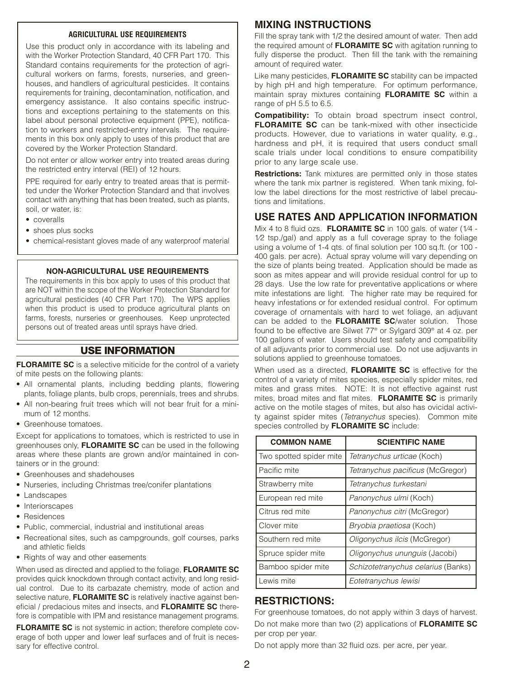#### **AGRICULTURAL USE REQUIREMENTS**

Use this product only in accordance with its labeling and with the Worker Protection Standard, 40 CFR Part 170. This Standard contains requirements for the protection of agricultural workers on farms, forests, nurseries, and greenhouses, and handlers of agricultural pesticides. It contains requirements for training, decontamination, notification, and emergency assistance. It also contains specific instructions and exceptions pertaining to the statements on this label about personal protective equipment (PPE), notification to workers and restricted-entry intervals. The requirements in this box only apply to uses of this product that are covered by the Worker Protection Standard.

Do not enter or allow worker entry into treated areas during the restricted entry interval (REI) of 12 hours.

PPE required for early entry to treated areas that is permitted under the Worker Protection Standard and that involves contact with anything that has been treated, such as plants, soil, or water, is:

- coveralls
- shoes plus socks
- chemical-resistant gloves made of any waterproof material

#### **NON-AGRICULTURAL USE REQUIREMENTS**

The requirements in this box apply to uses of this product that are NOT within the scope of the Worker Protection Standard for agricultural pesticides (40 CFR Part 170). The WPS applies when this product is used to produce agricultural plants on farms, forests, nurseries or greenhouses. Keep unprotected persons out of treated areas until sprays have dried.

#### **USE INFORMATION**

**FLORAMITE SC** is a selective miticide for the control of a variety of mite pests on the following plants:

- All ornamental plants, including bedding plants, flowering plants, foliage plants, bulb crops, perennials, trees and shrubs.
- All non-bearing fruit trees which will not bear fruit for a minimum of 12 months.
- Greenhouse tomatoes.

Except for applications to tomatoes, which is restricted to use in greenhouses only, **FLORAMITE SC** can be used in the following areas where these plants are grown and/or maintained in containers or in the ground:

- Greenhouses and shadehouses
- Nurseries, including Christmas tree/conifer plantations
- Landscapes
- Interiorscapes
- Residences
- Public, commercial, industrial and institutional areas
- Recreational sites, such as campgrounds, golf courses, parks and athletic fields
- Rights of way and other easements

When used as directed and applied to the foliage, **FLORAMITE SC** provides quick knockdown through contact activity, and long residual control. Due to its carbazate chemistry, mode of action and selective nature, **FLORAMITE SC** is relatively inactive against beneficial / predacious mites and insects, and **FLORAMITE SC** therefore is compatible with IPM and resistance management programs.

**FLORAMITE SC** is not systemic in action; therefore complete coverage of both upper and lower leaf surfaces and of fruit is necessary for effective control.

### **MIXING INSTRUCTIONS**

Fill the spray tank with 1/2 the desired amount of water. Then add the required amount of **FLORAMITE SC** with agitation running to fully disperse the product. Then fill the tank with the remaining amount of required water.

Like many pesticides, **FLORAMITE SC** stability can be impacted by high pH and high temperature. For optimum performance, maintain spray mixtures containing **FLORAMITE SC** within a range of pH 5.5 to 6.5.

**Compatibility:** To obtain broad spectrum insect control, **FLORAMITE SC** can be tank-mixed with other insecticide products. However, due to variations in water quality, e.g., hardness and pH, it is required that users conduct small scale trials under local conditions to ensure compatibility prior to any large scale use.

**Restrictions:** Tank mixtures are permitted only in those states where the tank mix partner is registered. When tank mixing, follow the label directions for the most restrictive of label precautions and limitations.

#### **USE RATES AND APPLICATION INFORMATION**

Mix 4 to 8 fluid ozs. **FLORAMITE SC** in 100 gals. of water (1⁄4 - 1⁄2 tsp./gal) and apply as a full coverage spray to the foliage using a volume of 1-4 qts. of final solution per 100 sq.ft. (or 100 - 400 gals. per acre). Actual spray volume will vary depending on the size of plants being treated. Application should be made as soon as mites appear and will provide residual control for up to 28 days. Use the low rate for preventative applications or where mite infestations are light. The higher rate may be required for heavy infestations or for extended residual control. For optimum coverage of ornamentals with hard to wet foliage, an adjuvant can be added to the **FLORAMITE SC**/water solution. Those found to be effective are Silwet 77® or Sylgard 309® at 4 oz. per 100 gallons of water. Users should test safety and compatibility of all adjuvants prior to commercial use. Do not use adjuvants in solutions applied to greenhouse tomatoes.

When used as a directed, **FLORAMITE SC** is effective for the control of a variety of mites species, especially spider mites, red mites and grass mites. NOTE: It is not effective against rust mites, broad mites and flat mites. **FLORAMITE SC** is primarily active on the motile stages of mites, but also has ovicidal activity against spider mites (*Tetranychus* species). Common mite species controlled by **FLORAMITE SC** include:

| <b>COMMON NAME</b>      | <b>SCIENTIFIC NAME</b>             |
|-------------------------|------------------------------------|
| Two spotted spider mite | Tetranychus urticae (Koch)         |
| Pacific mite            | Tetranychus pacificus (McGregor)   |
| Strawberry mite         | Tetranychus turkestani             |
| European red mite       | Panonychus ulmi (Koch)             |
| Citrus red mite         | Panonychus citri (McGregor)        |
| Clover mite             | Bryobia praetiosa (Koch)           |
| Southern red mite       | Oligonychus ilcis (McGregor)       |
| Spruce spider mite      | Oligonychus ununguis (Jacobi)      |
| Bamboo spider mite      | Schizotetranychus celarius (Banks) |
| Lewis mite              | Eotetranychus lewisi               |

#### **RESTRICTIONS:**

For greenhouse tomatoes, do not apply within 3 days of harvest. Do not make more than two (2) applications of **FLORAMITE SC** per crop per year.

Do not apply more than 32 fluid ozs. per acre, per year.